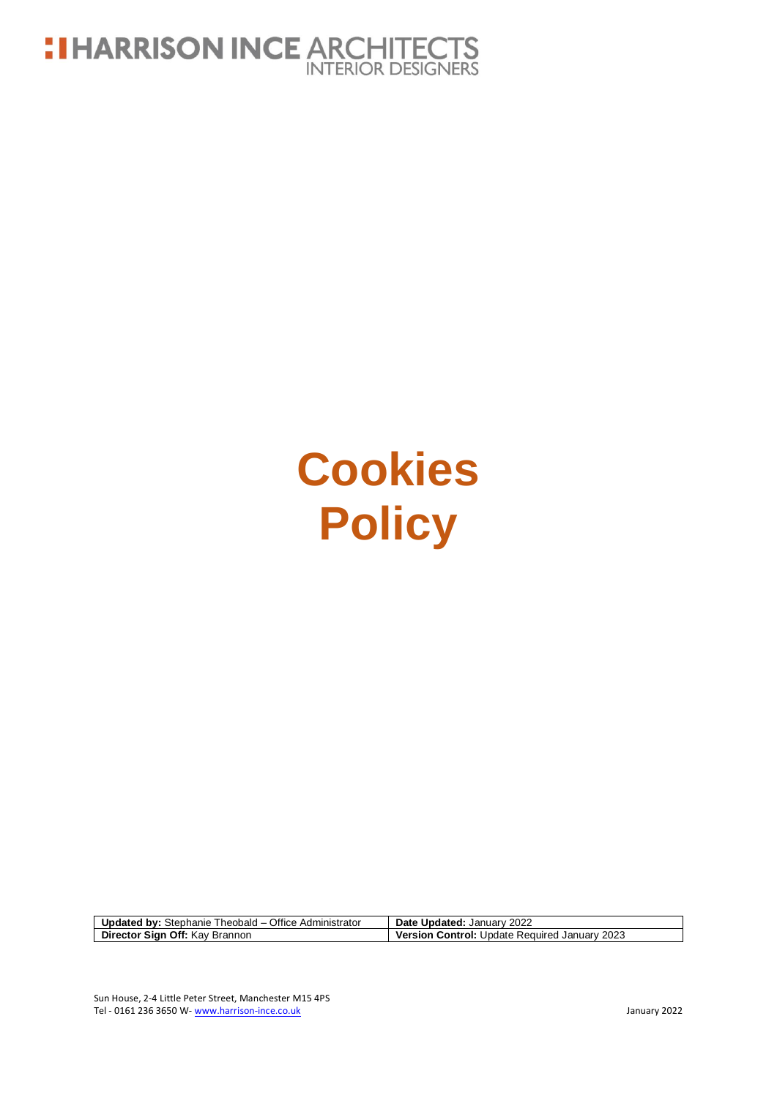

# **Cookies Policy**

| <b>Updated by: Stephanie Theobald – Office Administrator</b> | Date Updated: January 2022                           |
|--------------------------------------------------------------|------------------------------------------------------|
| Director Sign Off: Kay Brannon                               | <b>Version Control: Update Required January 2023</b> |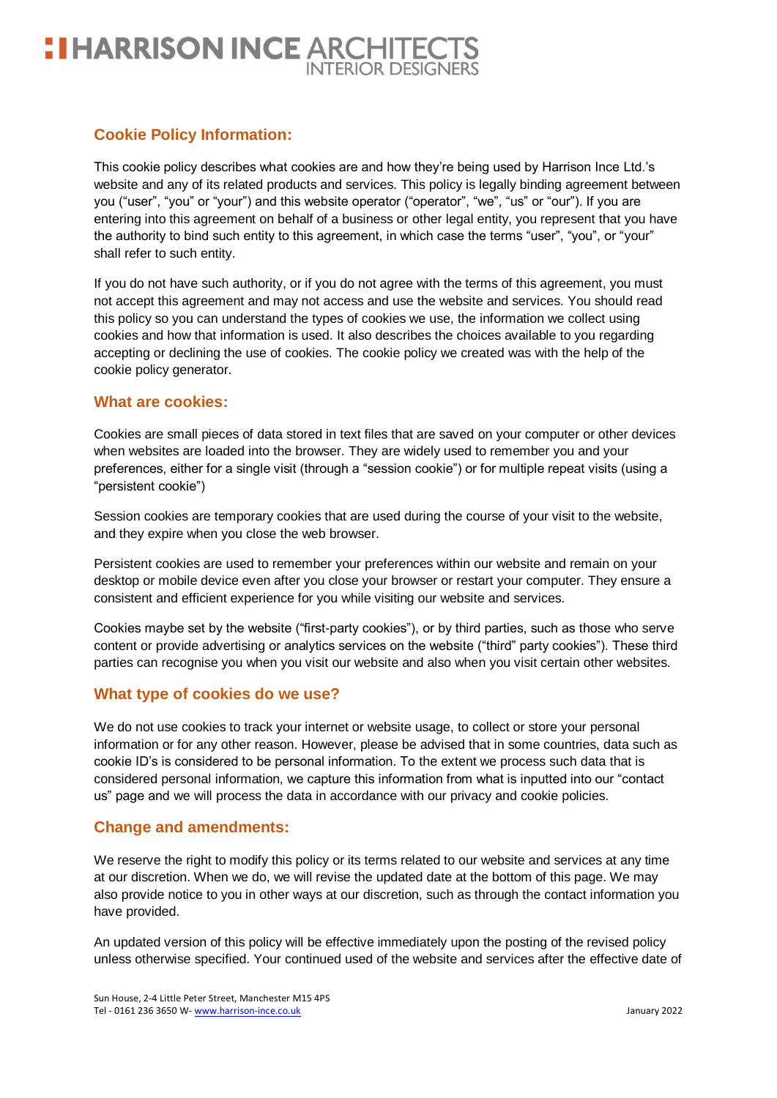# **: I HARRISON INCE ARCHITECTS**

### **Cookie Policy Information:**

This cookie policy describes what cookies are and how they're being used by Harrison Ince Ltd.'s website and any of its related products and services. This policy is legally binding agreement between you ("user", "you" or "your") and this website operator ("operator", "we", "us" or "our"). If you are entering into this agreement on behalf of a business or other legal entity, you represent that you have the authority to bind such entity to this agreement, in which case the terms "user", "you", or "your" shall refer to such entity.

If you do not have such authority, or if you do not agree with the terms of this agreement, you must not accept this agreement and may not access and use the website and services. You should read this policy so you can understand the types of cookies we use, the information we collect using cookies and how that information is used. It also describes the choices available to you regarding accepting or declining the use of cookies. The cookie policy we created was with the help of the cookie policy generator.

#### **What are cookies:**

Cookies are small pieces of data stored in text files that are saved on your computer or other devices when websites are loaded into the browser. They are widely used to remember you and your preferences, either for a single visit (through a "session cookie") or for multiple repeat visits (using a "persistent cookie")

Session cookies are temporary cookies that are used during the course of your visit to the website, and they expire when you close the web browser.

Persistent cookies are used to remember your preferences within our website and remain on your desktop or mobile device even after you close your browser or restart your computer. They ensure a consistent and efficient experience for you while visiting our website and services.

Cookies maybe set by the website ("first-party cookies"), or by third parties, such as those who serve content or provide advertising or analytics services on the website ("third" party cookies"). These third parties can recognise you when you visit our website and also when you visit certain other websites.

#### **What type of cookies do we use?**

We do not use cookies to track your internet or website usage, to collect or store your personal information or for any other reason. However, please be advised that in some countries, data such as cookie ID's is considered to be personal information. To the extent we process such data that is considered personal information, we capture this information from what is inputted into our "contact us" page and we will process the data in accordance with our privacy and cookie policies.

#### **Change and amendments:**

We reserve the right to modify this policy or its terms related to our website and services at any time at our discretion. When we do, we will revise the updated date at the bottom of this page. We may also provide notice to you in other ways at our discretion, such as through the contact information you have provided.

An updated version of this policy will be effective immediately upon the posting of the revised policy unless otherwise specified. Your continued used of the website and services after the effective date of